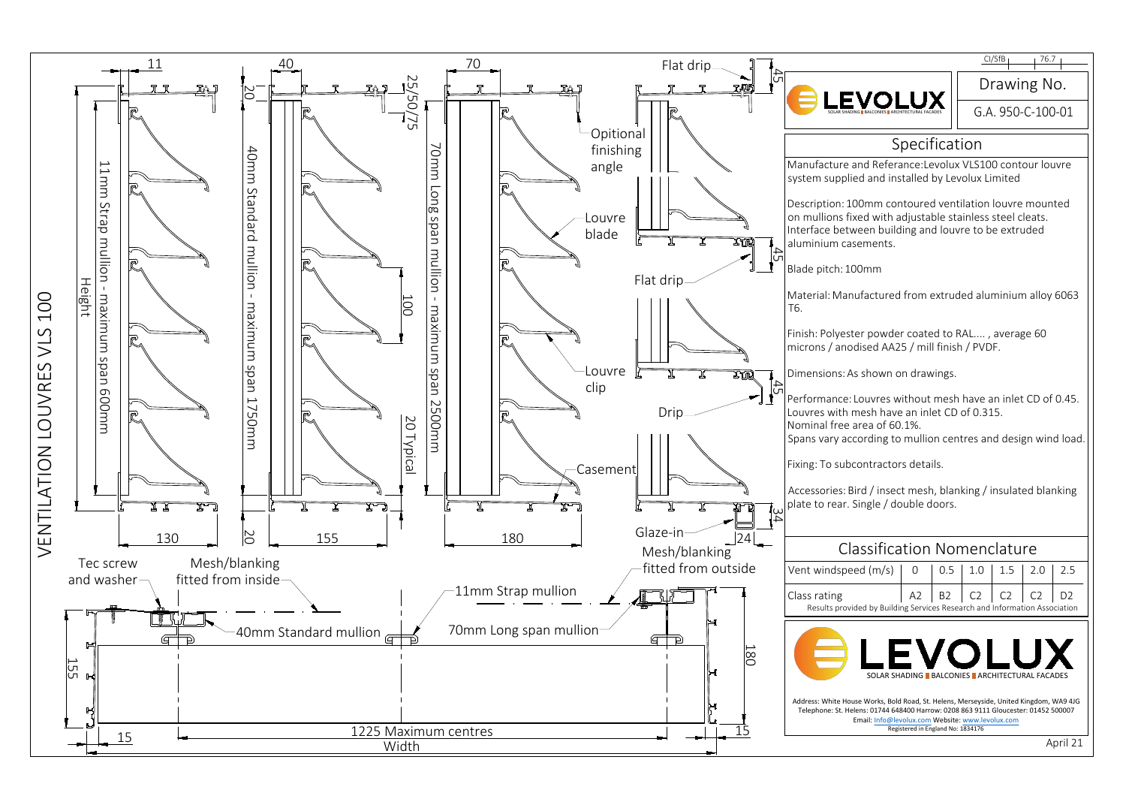